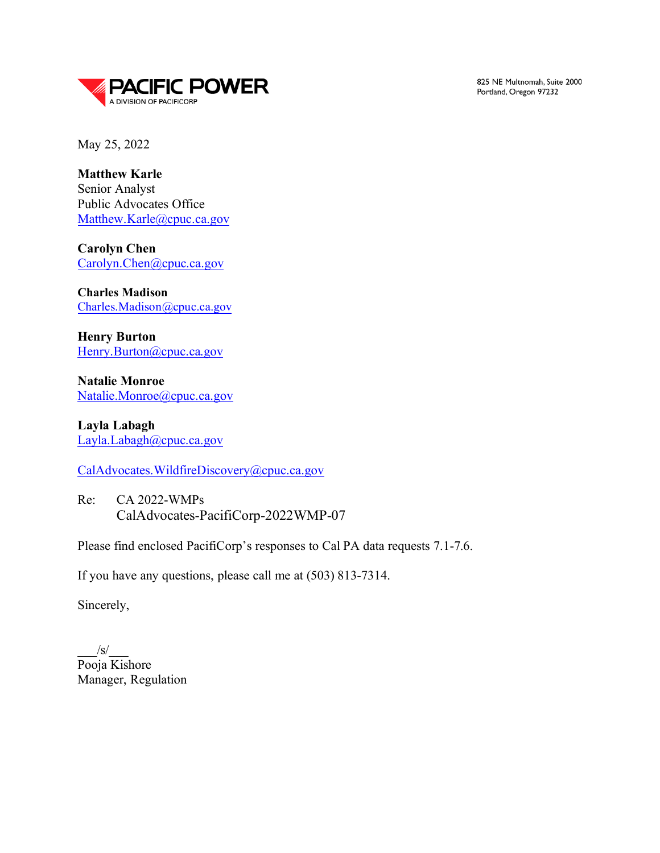

825 NE Multnomah, Suite 2000 Portland, Oregon 97232

May 25, 2022

**Matthew Karle** Senior Analyst Public Advocates Office [Matthew.Karle@cpuc.ca.gov](mailto:Matthew.Karle@cpuc.ca.gov)

**Carolyn Chen**  [Carolyn.Chen@cpuc.ca.gov](mailto:Carolyn.Chen@cpuc.ca.gov)

**Charles Madison**  [Charles.Madison@cpuc.ca.gov](mailto:Charles.Madison@cpuc.ca.gov)

**Henry Burton** [Henry.Burton@cpuc.ca.gov](mailto:Henry.Burton@cpuc.ca.gov)

**Natalie Monroe** [Natalie.Monroe@cpuc.ca.gov](mailto:Natalie.Monroe@cpuc.ca.gov)

**Layla Labagh** [Layla.Labagh@cpuc.ca.gov](mailto:Layla.Labagh@cpuc.ca.gov)

[CalAdvocates.WildfireDiscovery@cpuc.ca.gov](mailto:CalAdvocates.WildfireDiscovery@cpuc.ca.gov)

Re: CA 2022-WMPs CalAdvocates-PacifiCorp-2022WMP-07

Please find enclosed PacifiCorp's responses to Cal PA data requests 7.1-7.6.

If you have any questions, please call me at (503) 813-7314.

Sincerely,

 $\sqrt{s}$ Pooja Kishore Manager, Regulation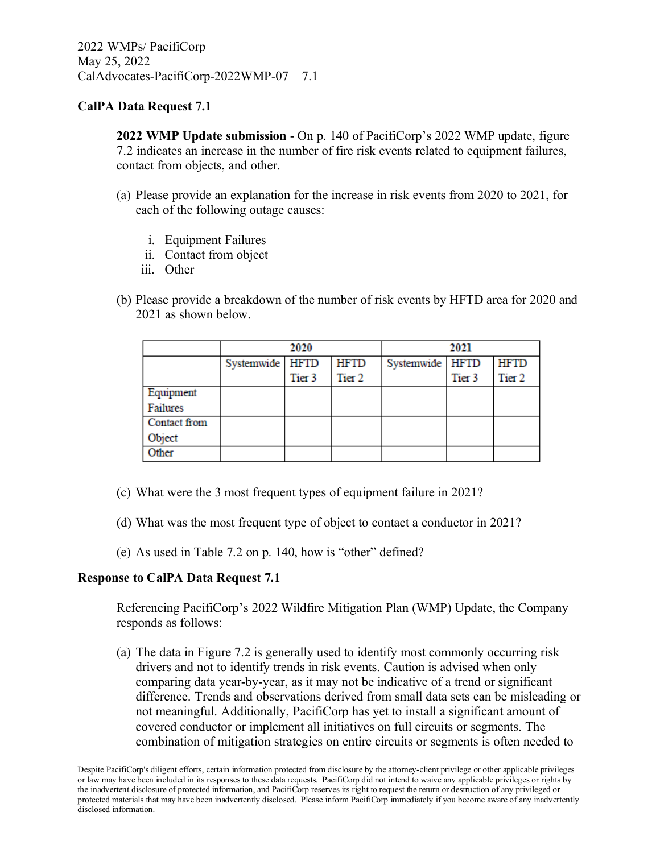**2022 WMP Update submission** - On p. 140 of PacifiCorp's 2022 WMP update, figure 7.2 indicates an increase in the number of fire risk events related to equipment failures, contact from objects, and other.

- (a) Please provide an explanation for the increase in risk events from 2020 to 2021, for each of the following outage causes:
	- i. Equipment Failures
	- ii. Contact from object
	- iii. Other
- (b) Please provide a breakdown of the number of risk events by HFTD area for 2020 and 2021 as shown below.

|              | 2020            |                   |                   | 2021            |                   |                   |
|--------------|-----------------|-------------------|-------------------|-----------------|-------------------|-------------------|
|              | Systemwide HFTD |                   | <b>HFTD</b>       | Systemwide HFTD |                   | <b>HFTD</b>       |
|              |                 | Tier <sub>3</sub> | Tier <sub>2</sub> |                 | Tier <sub>3</sub> | Tier <sub>2</sub> |
| Equipment    |                 |                   |                   |                 |                   |                   |
| Failures     |                 |                   |                   |                 |                   |                   |
| Contact from |                 |                   |                   |                 |                   |                   |
| Object       |                 |                   |                   |                 |                   |                   |
| Other        |                 |                   |                   |                 |                   |                   |

- (c) What were the 3 most frequent types of equipment failure in 2021?
- (d) What was the most frequent type of object to contact a conductor in 2021?
- (e) As used in Table 7.2 on p. 140, how is "other" defined?

## **Response to CalPA Data Request 7.1**

Referencing PacifiCorp's 2022 Wildfire Mitigation Plan (WMP) Update, the Company responds as follows:

(a) The data in Figure 7.2 is generally used to identify most commonly occurring risk drivers and not to identify trends in risk events. Caution is advised when only comparing data year-by-year, as it may not be indicative of a trend or significant difference. Trends and observations derived from small data sets can be misleading or not meaningful. Additionally, PacifiCorp has yet to install a significant amount of covered conductor or implement all initiatives on full circuits or segments. The combination of mitigation strategies on entire circuits or segments is often needed to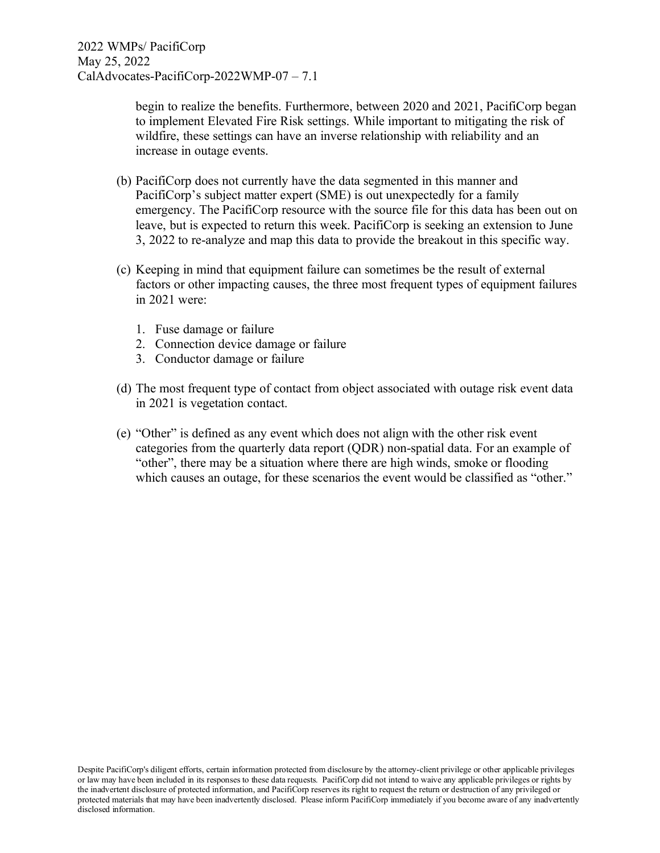begin to realize the benefits. Furthermore, between 2020 and 2021, PacifiCorp began to implement Elevated Fire Risk settings. While important to mitigating the risk of wildfire, these settings can have an inverse relationship with reliability and an increase in outage events.

- (b) PacifiCorp does not currently have the data segmented in this manner and PacifiCorp's subject matter expert (SME) is out unexpectedly for a family emergency. The PacifiCorp resource with the source file for this data has been out on leave, but is expected to return this week. PacifiCorp is seeking an extension to June 3, 2022 to re-analyze and map this data to provide the breakout in this specific way.
- (c) Keeping in mind that equipment failure can sometimes be the result of external factors or other impacting causes, the three most frequent types of equipment failures in 2021 were:
	- 1. Fuse damage or failure
	- 2. Connection device damage or failure
	- 3. Conductor damage or failure
- (d) The most frequent type of contact from object associated with outage risk event data in 2021 is vegetation contact.
- (e) "Other" is defined as any event which does not align with the other risk event categories from the quarterly data report (QDR) non-spatial data. For an example of "other", there may be a situation where there are high winds, smoke or flooding which causes an outage, for these scenarios the event would be classified as "other."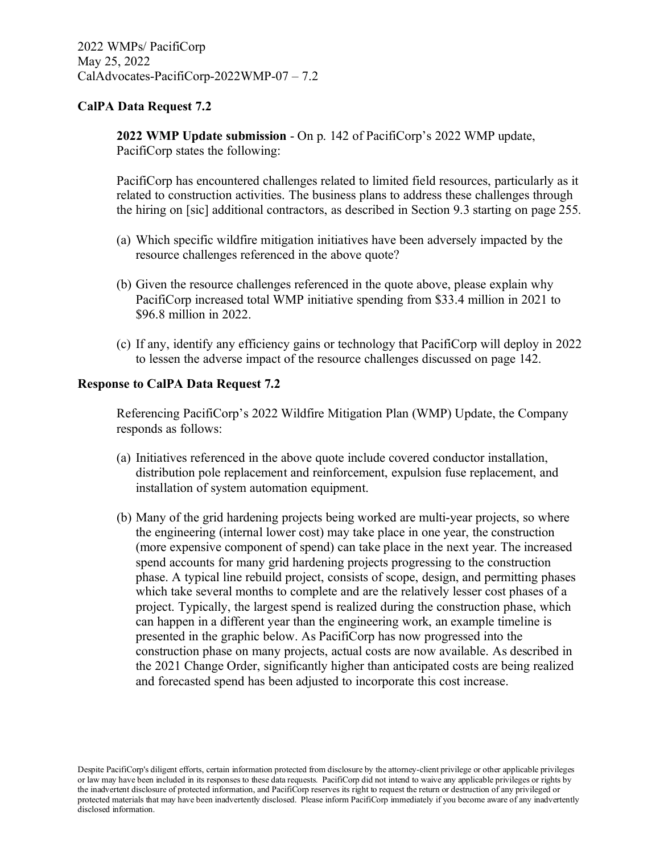**2022 WMP Update submission** - On p. 142 of PacifiCorp's 2022 WMP update, PacifiCorp states the following:

PacifiCorp has encountered challenges related to limited field resources, particularly as it related to construction activities. The business plans to address these challenges through the hiring on [sic] additional contractors, as described in Section 9.3 starting on page 255.

- (a) Which specific wildfire mitigation initiatives have been adversely impacted by the resource challenges referenced in the above quote?
- (b) Given the resource challenges referenced in the quote above, please explain why PacifiCorp increased total WMP initiative spending from \$33.4 million in 2021 to \$96.8 million in 2022.
- (c) If any, identify any efficiency gains or technology that PacifiCorp will deploy in 2022 to lessen the adverse impact of the resource challenges discussed on page 142.

#### **Response to CalPA Data Request 7.2**

Referencing PacifiCorp's 2022 Wildfire Mitigation Plan (WMP) Update, the Company responds as follows:

- (a) Initiatives referenced in the above quote include covered conductor installation, distribution pole replacement and reinforcement, expulsion fuse replacement, and installation of system automation equipment.
- (b) Many of the grid hardening projects being worked are multi-year projects, so where the engineering (internal lower cost) may take place in one year, the construction (more expensive component of spend) can take place in the next year. The increased spend accounts for many grid hardening projects progressing to the construction phase. A typical line rebuild project, consists of scope, design, and permitting phases which take several months to complete and are the relatively lesser cost phases of a project. Typically, the largest spend is realized during the construction phase, which can happen in a different year than the engineering work, an example timeline is presented in the graphic below. As PacifiCorp has now progressed into the construction phase on many projects, actual costs are now available. As described in the 2021 Change Order, significantly higher than anticipated costs are being realized and forecasted spend has been adjusted to incorporate this cost increase.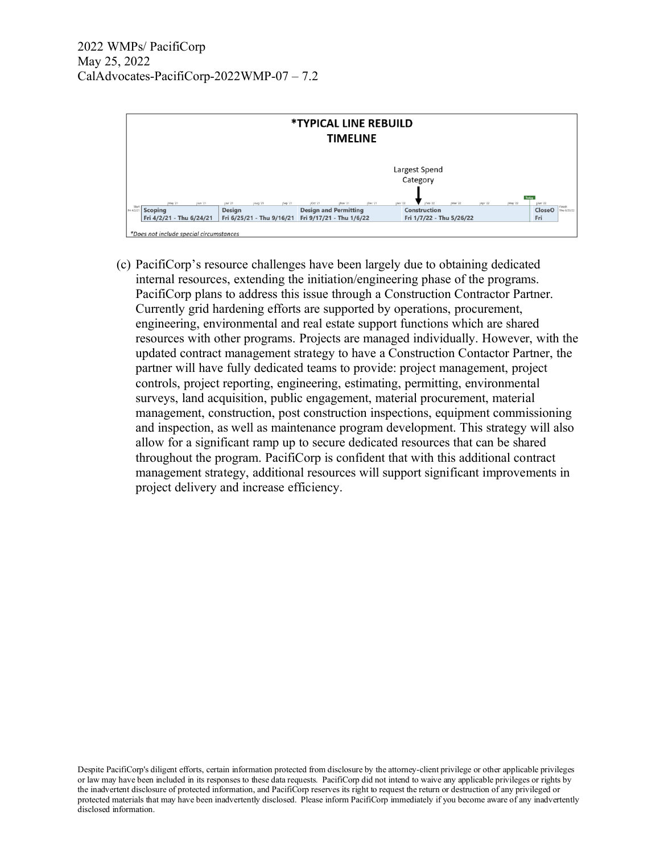

(c) PacifiCorp's resource challenges have been largely due to obtaining dedicated internal resources, extending the initiation/engineering phase of the programs. PacifiCorp plans to address this issue through a Construction Contractor Partner. Currently grid hardening efforts are supported by operations, procurement, engineering, environmental and real estate support functions which are shared resources with other programs. Projects are managed individually. However, with the updated contract management strategy to have a Construction Contactor Partner, the partner will have fully dedicated teams to provide: project management, project controls, project reporting, engineering, estimating, permitting, environmental surveys, land acquisition, public engagement, material procurement, material management, construction, post construction inspections, equipment commissioning and inspection, as well as maintenance program development. This strategy will also allow for a significant ramp up to secure dedicated resources that can be shared throughout the program. PacifiCorp is confident that with this additional contract management strategy, additional resources will support significant improvements in project delivery and increase efficiency.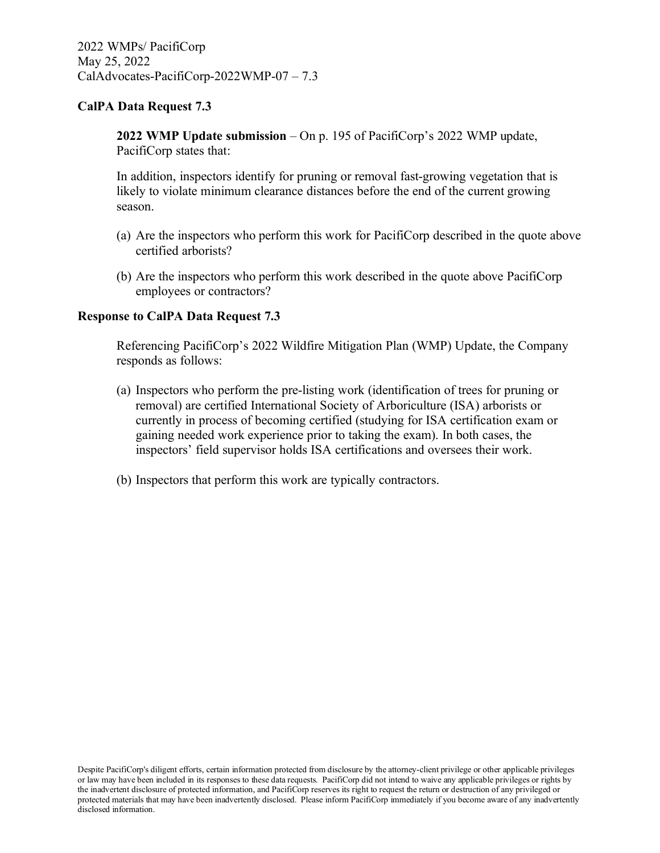**2022 WMP Update submission** – On p. 195 of PacifiCorp's 2022 WMP update, PacifiCorp states that:

In addition, inspectors identify for pruning or removal fast-growing vegetation that is likely to violate minimum clearance distances before the end of the current growing season.

- (a) Are the inspectors who perform this work for PacifiCorp described in the quote above certified arborists?
- (b) Are the inspectors who perform this work described in the quote above PacifiCorp employees or contractors?

#### **Response to CalPA Data Request 7.3**

Referencing PacifiCorp's 2022 Wildfire Mitigation Plan (WMP) Update, the Company responds as follows:

- (a) Inspectors who perform the pre-listing work (identification of trees for pruning or removal) are certified International Society of Arboriculture (ISA) arborists or currently in process of becoming certified (studying for ISA certification exam or gaining needed work experience prior to taking the exam). In both cases, the inspectors' field supervisor holds ISA certifications and oversees their work.
- (b) Inspectors that perform this work are typically contractors.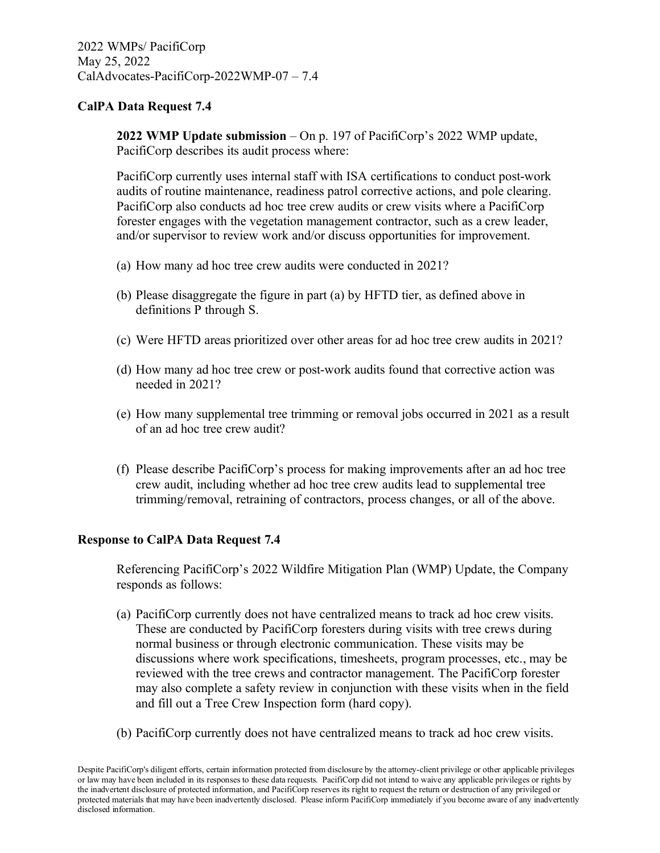**2022 WMP Update submission** – On p. 197 of PacifiCorp's 2022 WMP update, PacifiCorp describes its audit process where:

PacifiCorp currently uses internal staff with ISA certifications to conduct post-work audits of routine maintenance, readiness patrol corrective actions, and pole clearing. PacifiCorp also conducts ad hoc tree crew audits or crew visits where a PacifiCorp forester engages with the vegetation management contractor, such as a crew leader, and/or supervisor to review work and/or discuss opportunities for improvement.

- (a) How many ad hoc tree crew audits were conducted in 2021?
- (b) Please disaggregate the figure in part (a) by HFTD tier, as defined above in definitions P through S.
- (c) Were HFTD areas prioritized over other areas for ad hoc tree crew audits in 2021?
- (d) How many ad hoc tree crew or post-work audits found that corrective action was needed in 2021?
- (e) How many supplemental tree trimming or removal jobs occurred in 2021 as a result of an ad hoc tree crew audit?
- (f) Please describe PacifiCorp's process for making improvements after an ad hoc tree crew audit, including whether ad hoc tree crew audits lead to supplemental tree trimming/removal, retraining of contractors, process changes, or all of the above.

## **Response to CalPA Data Request 7.4**

Referencing PacifiCorp's 2022 Wildfire Mitigation Plan (WMP) Update, the Company responds as follows:

- (a) PacifiCorp currently does not have centralized means to track ad hoc crew visits. These are conducted by PacifiCorp foresters during visits with tree crews during normal business or through electronic communication. These visits may be discussions where work specifications, timesheets, program processes, etc., may be reviewed with the tree crews and contractor management. The PacifiCorp forester may also complete a safety review in conjunction with these visits when in the field and fill out a Tree Crew Inspection form (hard copy).
- (b) PacifiCorp currently does not have centralized means to track ad hoc crew visits.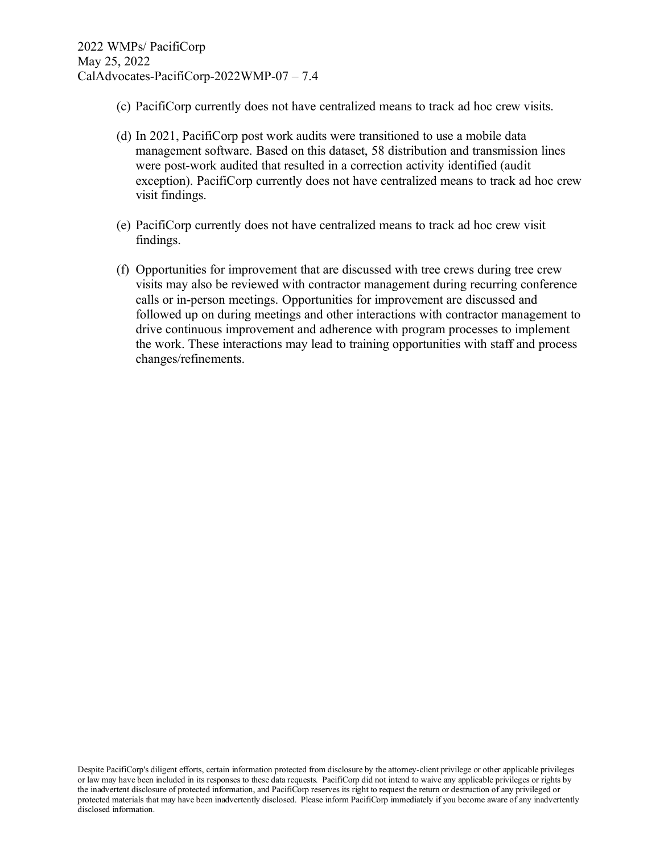- (c) PacifiCorp currently does not have centralized means to track ad hoc crew visits.
- (d) In 2021, PacifiCorp post work audits were transitioned to use a mobile data management software. Based on this dataset, 58 distribution and transmission lines were post-work audited that resulted in a correction activity identified (audit exception). PacifiCorp currently does not have centralized means to track ad hoc crew visit findings.
- (e) PacifiCorp currently does not have centralized means to track ad hoc crew visit findings.
- (f) Opportunities for improvement that are discussed with tree crews during tree crew visits may also be reviewed with contractor management during recurring conference calls or in-person meetings. Opportunities for improvement are discussed and followed up on during meetings and other interactions with contractor management to drive continuous improvement and adherence with program processes to implement the work. These interactions may lead to training opportunities with staff and process changes/refinements.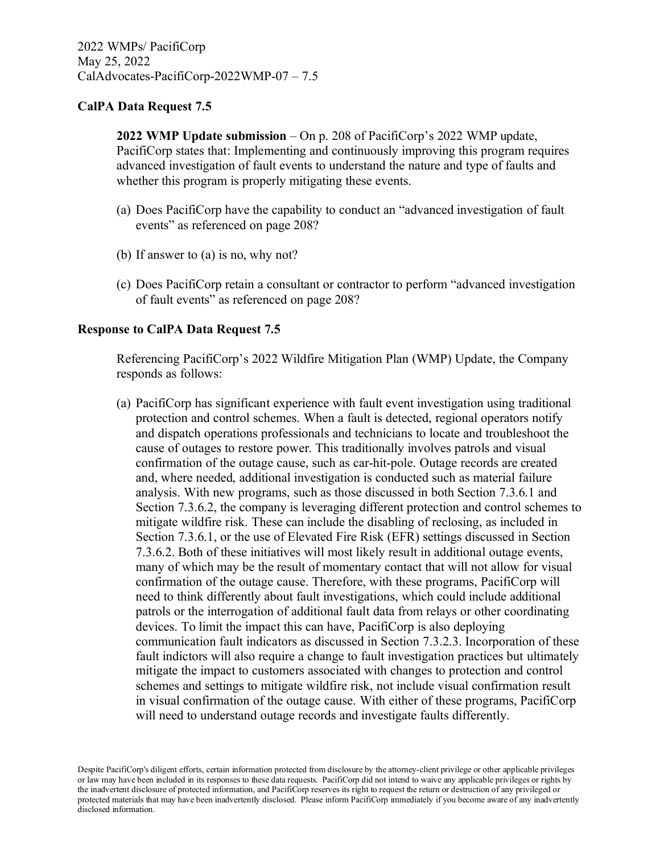**2022 WMP Update submission** – On p. 208 of PacifiCorp's 2022 WMP update, PacifiCorp states that: Implementing and continuously improving this program requires advanced investigation of fault events to understand the nature and type of faults and whether this program is properly mitigating these events.

- (a) Does PacifiCorp have the capability to conduct an "advanced investigation of fault events" as referenced on page 208?
- (b) If answer to (a) is no, why not?
- (c) Does PacifiCorp retain a consultant or contractor to perform "advanced investigation of fault events" as referenced on page 208?

## **Response to CalPA Data Request 7.5**

Referencing PacifiCorp's 2022 Wildfire Mitigation Plan (WMP) Update, the Company responds as follows:

(a) PacifiCorp has significant experience with fault event investigation using traditional protection and control schemes. When a fault is detected, regional operators notify and dispatch operations professionals and technicians to locate and troubleshoot the cause of outages to restore power. This traditionally involves patrols and visual confirmation of the outage cause, such as car-hit-pole. Outage records are created and, where needed, additional investigation is conducted such as material failure analysis. With new programs, such as those discussed in both Section 7.3.6.1 and Section 7.3.6.2, the company is leveraging different protection and control schemes to mitigate wildfire risk. These can include the disabling of reclosing, as included in Section 7.3.6.1, or the use of Elevated Fire Risk (EFR) settings discussed in Section 7.3.6.2. Both of these initiatives will most likely result in additional outage events, many of which may be the result of momentary contact that will not allow for visual confirmation of the outage cause. Therefore, with these programs, PacifiCorp will need to think differently about fault investigations, which could include additional patrols or the interrogation of additional fault data from relays or other coordinating devices. To limit the impact this can have, PacifiCorp is also deploying communication fault indicators as discussed in Section 7.3.2.3. Incorporation of these fault indictors will also require a change to fault investigation practices but ultimately mitigate the impact to customers associated with changes to protection and control schemes and settings to mitigate wildfire risk, not include visual confirmation result in visual confirmation of the outage cause. With either of these programs, PacifiCorp will need to understand outage records and investigate faults differently.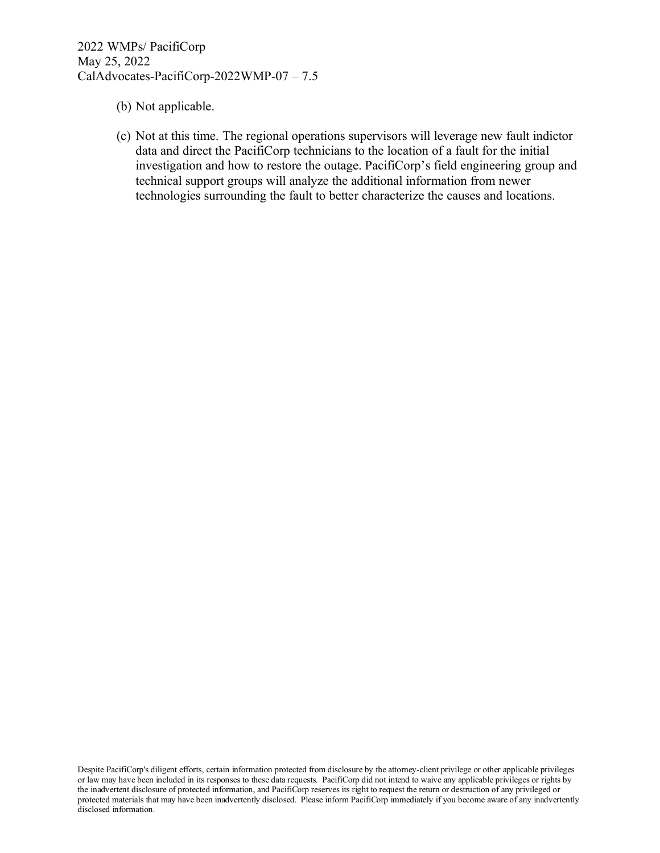- (b) Not applicable.
- (c) Not at this time. The regional operations supervisors will leverage new fault indictor data and direct the PacifiCorp technicians to the location of a fault for the initial investigation and how to restore the outage. PacifiCorp's field engineering group and technical support groups will analyze the additional information from newer technologies surrounding the fault to better characterize the causes and locations.